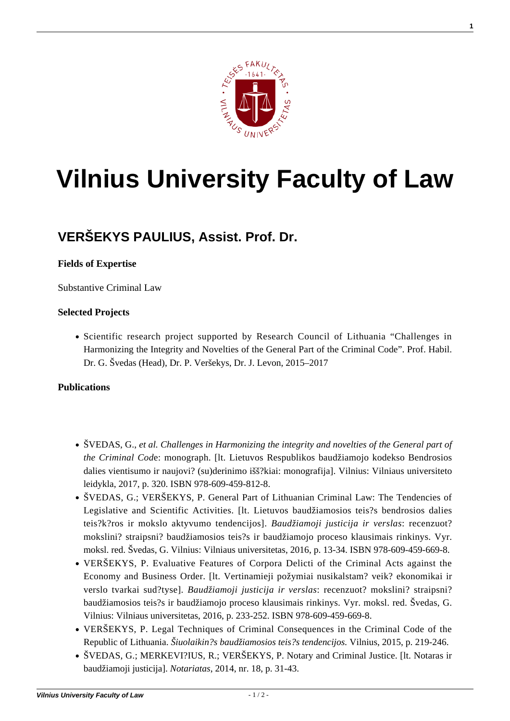

# **[Vilnius University Faculty of Law](https://www.tf.vu.lt/)**

## **[VERŠEKYS PAULIUS, Assist. Prof. Dr.](https://www.tf.vu.lt/about_us/science-centers/science-center-of-criminal-policy-and-european-union-criminal-law/versekys-paulius-assist-prof-dr/)**

### **Fields of Expertise**

Substantive Criminal Law

### **Selected Projects**

• Scientific research project supported by Research Council of Lithuania "Challenges in Harmonizing the Integrity and Novelties of the General Part of the Criminal Code". Prof. Habil. Dr. G. Švedas (Head), Dr. P. Veršekys, Dr. J. Levon, 2015–2017

#### **Publications**

- [ŠVEDAS, G.,](http://www.tf.vu.lt/wp-content/uploads/2016/07/LR_Baudziamojo_kodekso_bendrosios_dalies_vientisumo_ir_naujoviu_suderinimo_issukiai.pdf) *[et al. Challenges in Harmonizing the integrity and novelties of the General part of](http://www.tf.vu.lt/wp-content/uploads/2016/07/LR_Baudziamojo_kodekso_bendrosios_dalies_vientisumo_ir_naujoviu_suderinimo_issukiai.pdf) [the Criminal Cod](http://www.tf.vu.lt/wp-content/uploads/2016/07/LR_Baudziamojo_kodekso_bendrosios_dalies_vientisumo_ir_naujoviu_suderinimo_issukiai.pdf)*[e: monograph. \[lt. Lietuvos Respublikos baudžiamojo kodekso Bendrosios](http://www.tf.vu.lt/wp-content/uploads/2016/07/LR_Baudziamojo_kodekso_bendrosios_dalies_vientisumo_ir_naujoviu_suderinimo_issukiai.pdf) [dalies vientisumo ir naujovi? \(su\)derinimo išš?kiai: monografija\]. Vilnius: Vilniaus universiteto](http://www.tf.vu.lt/wp-content/uploads/2016/07/LR_Baudziamojo_kodekso_bendrosios_dalies_vientisumo_ir_naujoviu_suderinimo_issukiai.pdf) [leidykla, 2017, p. 320. ISBN 978-609-459-812-8.](http://www.tf.vu.lt/wp-content/uploads/2016/07/LR_Baudziamojo_kodekso_bendrosios_dalies_vientisumo_ir_naujoviu_suderinimo_issukiai.pdf)
- ŠVEDAS, G.; VERŠEKYS, P. General Part of Lithuanian Criminal Law: The Tendencies of Legislative and Scientific Activities. [lt. Lietuvos baudžiamosios teis?s bendrosios dalies teis?k?ros ir mokslo aktyvumo tendencijos]. *Baudžiamoji justicija ir verslas*: recenzuot? mokslini? straipsni? baudžiamosios teis?s ir baudžiamojo proceso klausimais rinkinys. Vyr. moksl. red. Švedas, G. Vilnius: Vilniaus universitetas, 2016, p. 13-34. ISBN 978-609-459-669-8.
- VERŠEKYS, P. Evaluative Features of Corpora Delicti of the Criminal Acts against the Economy and Business Order. [lt. Vertinamieji požymiai nusikalstam? veik? ekonomikai ir verslo tvarkai sud?tyse]. *Baudžiamoji justicija ir verslas*: recenzuot? mokslini? straipsni? baudžiamosios teis?s ir baudžiamojo proceso klausimais rinkinys. Vyr. moksl. red. Švedas, G. Vilnius: Vilniaus universitetas, 2016, p. 233-252. ISBN 978-609-459-669-8.
- VERŠEKYS, P. Legal Techniques of Criminal Consequences in the Criminal Code of the Republic of Lithuania. *Šiuolaikin?s baudžiamosios teis?s tendencijos.* Vilnius, 2015, p. 219-246.
- [ŠVEDAS, G.; MERKEVI?IUS, R.; VERŠEKYS, P. Notary and Criminal Justice. \[lt. Notaras ir](http://www.notarurumai.lt/index.php/lt/leidiniai/item/289-notariatas-nr18) [baudžiamoji justicija\].](http://www.notarurumai.lt/index.php/lt/leidiniai/item/289-notariatas-nr18) *[Notariatas](http://www.notarurumai.lt/index.php/lt/leidiniai/item/289-notariatas-nr18)*[, 2014, nr. 18, p. 31-43.](http://www.notarurumai.lt/index.php/lt/leidiniai/item/289-notariatas-nr18)

**1**